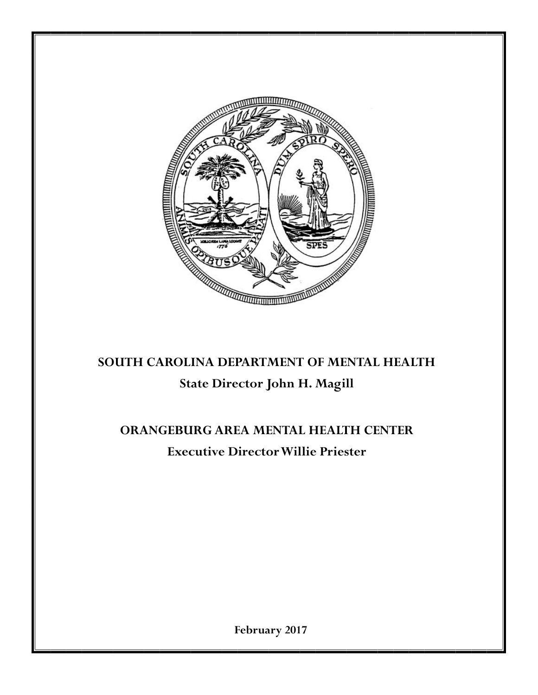

# **SOUTH CAROLINA DEPARTMENT OF MENTAL HEALTH State Director John H. Magill**

# **ORANGEBURG AREA MENTAL HEALTH CENTER Executive Director Willie Priester**

**February 2017**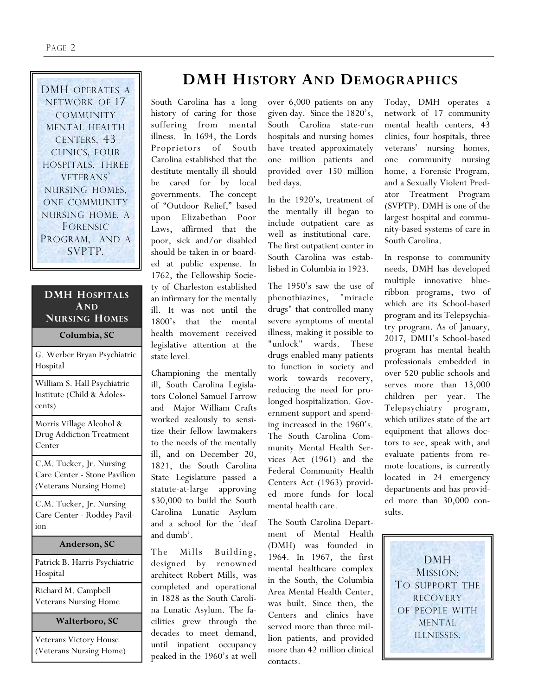DMH OPERATES A NETWORK OF 17 **COMMUNITY** MENTAL HEALTH CENTERS, 43 CLINICS, FOUR HOSPITALS, THREE VETERANS' NURSING HOMES, ONE COMMUNITY NURSING HOME, A FORENSIC PROGRAM, AND A SVPTP.

#### **DMH HOSPITALS AND NURSING HOMES**

**Columbia, SC**

| G. Werber Bryan Psychiatric<br>Hospital                                             |
|-------------------------------------------------------------------------------------|
| William S. Hall Psychiatric<br>Institute (Child & Adoles-<br>cents)                 |
| Morris Village Alcohol &<br><b>Drug Addiction Treatment</b><br>Center               |
| C.M. Tucker, Jr. Nursing<br>Care Center - Stone Pavilion<br>(Veterans Nursing Home) |
| C.M. Tucker, Jr. Nursing<br>Care Center - Roddey Pavil-<br>ion                      |
| Anderson, SC                                                                        |
| Patrick B. Harris Psychiatric<br>Hospital                                           |
| Richard M. Campbell<br><b>Veterans Nursing Home</b>                                 |

**Walterboro, SC**

Veterans Victory House (Veterans Nursing Home)

# **DMH HISTORY AND DEMOGRAPHICS**

South Carolina has a long history of caring for those suffering from mental illness. In 1694, the Lords Proprietors of South Carolina established that the destitute mentally ill should be cared for by local governments. The concept of "Outdoor Relief," based upon Elizabethan Poor Laws, affirmed that the poor, sick and/or disabled should be taken in or boarded at public expense. In 1762, the Fellowship Society of Charleston established an infirmary for the mentally ill. It was not until the 1800's that the mental health movement received legislative attention at the state level.

Championing the mentally ill, South Carolina Legislators Colonel Samuel Farrow and Major William Crafts worked zealously to sensitize their fellow lawmakers to the needs of the mentally ill, and on December 20, 1821, the South Carolina State Legislature passed a statute-at-large approving \$30,000 to build the South Carolina Lunatic Asylum and a school for the 'deaf and dumb'.

The Mills Building, designed by renowned architect Robert Mills, was completed and operational in 1828 as the South Carolina Lunatic Asylum. The facilities grew through the decades to meet demand, until inpatient occupancy peaked in the 1960's at well

over 6,000 patients on any given day. Since the 1820's, South Carolina state-run hospitals and nursing homes have treated approximately one million patients and provided over 150 million bed days.

In the 1920's, treatment of the mentally ill began to include outpatient care as well as institutional care. The first outpatient center in South Carolina was established in Columbia in 1923.

The 1950's saw the use of phenothiazines, "miracle drugs" that controlled many severe symptoms of mental illness, making it possible to "unlock" wards. These drugs enabled many patients to function in society and work towards recovery, reducing the need for prolonged hospitalization. Government support and spending increased in the 1960's. The South Carolina Community Mental Health Services Act (1961) and the Federal Community Health Centers Act (1963) provided more funds for local mental health care.

The South Carolina Department of Mental Health (DMH) was founded in 1964. In 1967, the first mental healthcare complex in the South, the Columbia Area Mental Health Center, was built. Since then, the Centers and clinics have served more than three million patients, and provided more than 42 million clinical contacts.

Today, DMH operates a network of 17 community mental health centers, 43 clinics, four hospitals, three veterans' nursing homes, one community nursing home, a Forensic Program, and a Sexually Violent Predator Treatment Program (SVPTP). DMH is one of the largest hospital and community-based systems of care in South Carolina.

In response to community needs, DMH has developed multiple innovative blueribbon programs, two of which are its School-based program and its Telepsychiatry program. As of January, 2017, DMH's School-based program has mental health professionals embedded in over 520 public schools and serves more than 13,000 children per year. The Telepsychiatry program, which utilizes state of the art equipment that allows doctors to see, speak with, and evaluate patients from remote locations, is currently located in 24 emergency departments and has provided more than 30,000 consults.

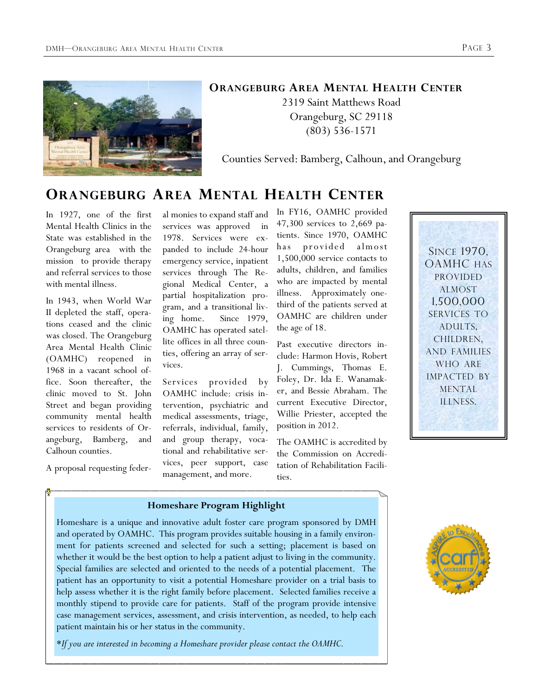

#### **ORANGEBURG AREA MENTAL HEALTH CENTER**

2319 Saint Matthews Road Orangeburg, SC 29118 (803) 536-1571

Counties Served: Bamberg, Calhoun, and Orangeburg

## **ORANGEBURG AREA MENTAL HEALTH CENTER**

In 1927, one of the first Mental Health Clinics in the State was established in the Orangeburg area with the mission to provide therapy and referral services to those with mental illness.

In 1943, when World War II depleted the staff, operations ceased and the clinic was closed. The Orangeburg Area Mental Health Clinic (OAMHC) reopened in 1968 in a vacant school office. Soon thereafter, the clinic moved to St. John Street and began providing community mental health services to residents of Orangeburg, Bamberg, and Calhoun counties.

A proposal requesting feder-

al monies to expand staff and services was approved in 1978. Services were expanded to include 24-hour emergency service, inpatient services through The Regional Medical Center, a partial hospitalization program, and a transitional living home. Since 1979, OAMHC has operated satellite offices in all three counties, offering an array of services.

Services provided by OAMHC include: crisis intervention, psychiatric and medical assessments, triage, referrals, individual, family, and group therapy, vocational and rehabilitative services, peer support, case management, and more.

In FY16, OAMHC provided 47,300 services to 2,669 patients. Since 1970, OAMHC has provided almost 1,500,000 service contacts to adults, children, and families who are impacted by mental illness. Approximately onethird of the patients served at OAMHC are children under the age of 18.

Past executive directors include: Harmon Hovis, Robert J. Cummings, Thomas E. Foley, Dr. Ida E. Wanamaker, and Bessie Abraham. The current Executive Director, Willie Priester, accepted the position in 2012.

The OAMHC is accredited by the Commission on Accreditation of Rehabilitation Facilities.



#### **Homeshare Program Highlight**

Homeshare is a unique and innovative adult foster care program sponsored by DMH and operated by OAMHC. This program provides suitable housing in a family environment for patients screened and selected for such a setting; placement is based on whether it would be the best option to help a patient adjust to living in the community. Special families are selected and oriented to the needs of a potential placement. The patient has an opportunity to visit a potential Homeshare provider on a trial basis to help assess whether it is the right family before placement. Selected families receive a monthly stipend to provide care for patients. Staff of the program provide intensive case management services, assessment, and crisis intervention, as needed, to help each patient maintain his or her status in the community.

\**If you are interested in becoming a Homeshare provider please contact the OAMHC.*

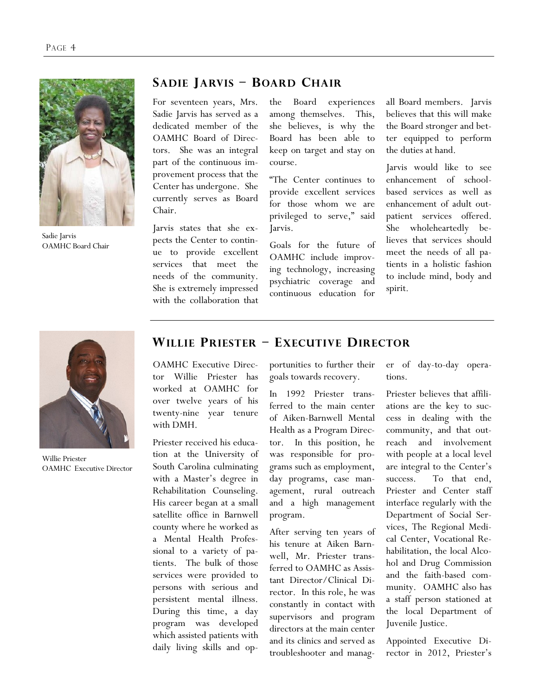

Sadie Jarvis OAMHC Board Chair

#### **SADIE JARVIS – BOARD CHAIR**

For seventeen years, Mrs. Sadie Jarvis has served as a dedicated member of the OAMHC Board of Directors. She was an integral part of the continuous improvement process that the Center has undergone. She currently serves as Board Chair.

Jarvis states that she expects the Center to continue to provide excellent services that meet the needs of the community. She is extremely impressed with the collaboration that

the Board experiences among themselves. This, she believes, is why the Board has been able to keep on target and stay on course.

"The Center continues to provide excellent services for those whom we are privileged to serve," said Jarvis.

Goals for the future of OAMHC include improving technology, increasing psychiatric coverage and continuous education for

all Board members. Jarvis believes that this will make the Board stronger and better equipped to perform the duties at hand.

Jarvis would like to see enhancement of schoolbased services as well as enhancement of adult outpatient services offered. She wholeheartedly believes that services should meet the needs of all patients in a holistic fashion to include mind, body and spirit.



Willie Priester OAMHC Executive Director

#### **WILLIE PRIESTER – EXECUTIVE DIRECTOR**

OAMHC Executive Director Willie Priester has worked at OAMHC for over twelve years of his twenty-nine year tenure with DMH.

Priester received his education at the University of South Carolina culminating with a Master's degree in Rehabilitation Counseling. His career began at a small satellite office in Barnwell county where he worked as a Mental Health Professional to a variety of patients. The bulk of those services were provided to persons with serious and persistent mental illness. During this time, a day program was developed which assisted patients with daily living skills and opportunities to further their goals towards recovery.

In 1992 Priester transferred to the main center of Aiken-Barnwell Mental Health as a Program Director. In this position, he was responsible for programs such as employment, day programs, case management, rural outreach and a high management program.

After serving ten years of his tenure at Aiken Barnwell, Mr. Priester transferred to OAMHC as Assistant Director/Clinical Director. In this role, he was constantly in contact with supervisors and program directors at the main center and its clinics and served as troubleshooter and manager of day-to-day operations.

Priester believes that affiliations are the key to success in dealing with the community, and that outreach and involvement with people at a local level are integral to the Center's success. To that end, Priester and Center staff interface regularly with the Department of Social Services, The Regional Medical Center, Vocational Rehabilitation, the local Alcohol and Drug Commission and the faith-based community. OAMHC also has a staff person stationed at the local Department of Juvenile Justice.

Appointed Executive Director in 2012, Priester's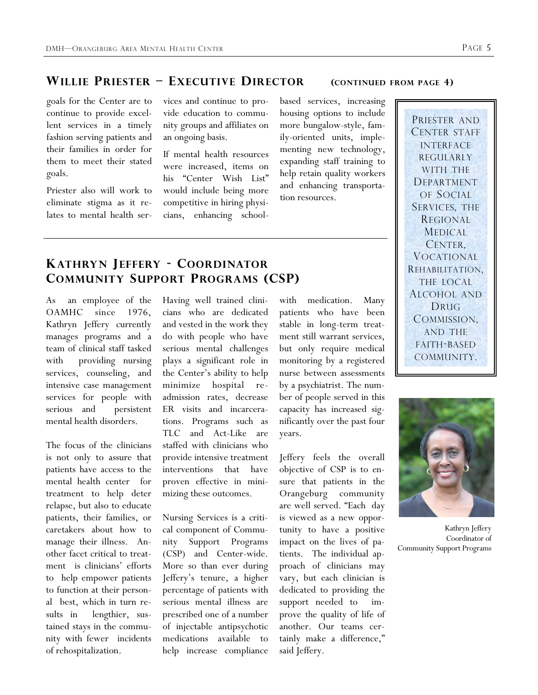## **WILLIE PRIESTER – EXECUTIVE DIRECTOR (CONTINUED FROM PAGE 4)**

goals for the Center are to continue to provide excellent services in a timely fashion serving patients and their families in order for them to meet their stated goals.

Priester also will work to eliminate stigma as it relates to mental health services and continue to provide education to community groups and affiliates on an ongoing basis.

If mental health resources were increased, items on his "Center Wish List" would include being more competitive in hiring physicians, enhancing schoolbased services, increasing housing options to include more bungalow-style, family-oriented units, implementing new technology, expanding staff training to help retain quality workers and enhancing transportation resources.

## **KATHRYN JEFFERY - COORDINATOR COMMUNITY SUPPORT PROGRAMS (CSP)**

As an employee of the OAMHC since 1976, Kathryn Jeffery currently manages programs and a team of clinical staff tasked with providing nursing services, counseling, and intensive case management services for people with serious and persistent mental health disorders.

The focus of the clinicians is not only to assure that patients have access to the mental health center for treatment to help deter relapse, but also to educate patients, their families, or caretakers about how to manage their illness. Another facet critical to treatment is clinicians' efforts to help empower patients to function at their personal best, which in turn results in lengthier, sustained stays in the community with fewer incidents of rehospitalization.

Having well trained clinicians who are dedicated and vested in the work they do with people who have serious mental challenges plays a significant role in the Center's ability to help minimize hospital readmission rates, decrease ER visits and incarcerations. Programs such as TLC and Act-Like are staffed with clinicians who provide intensive treatment interventions that have proven effective in minimizing these outcomes.

Nursing Services is a critical component of Community Support Programs (CSP) and Center-wide. More so than ever during Jeffery's tenure, a higher percentage of patients with serious mental illness are prescribed one of a number of injectable antipsychotic medications available to help increase compliance

with medication. Many patients who have been stable in long-term treatment still warrant services, but only require medical monitoring by a registered nurse between assessments by a psychiatrist. The number of people served in this capacity has increased significantly over the past four years.

Jeffery feels the overall objective of CSP is to ensure that patients in the Orangeburg community are well served. "Each day is viewed as a new opportunity to have a positive impact on the lives of patients. The individual approach of clinicians may vary, but each clinician is dedicated to providing the support needed to improve the quality of life of another. Our teams certainly make a difference," said Jeffery.

PRIESTER AND CENTER STAFF INTERFACE REGULARLY WITH THE DEPARTMENT OF SOCIAL SERVICES, THE REGIONAL MEDICAL CENTER, VOCATIONAL REHABILITATION, THE LOCAL ALCOHOL AND DRUG COMMISSION, AND THE FAITH-BASED COMMUNITY.



Kathryn Jeffery Coordinator of Community Support Programs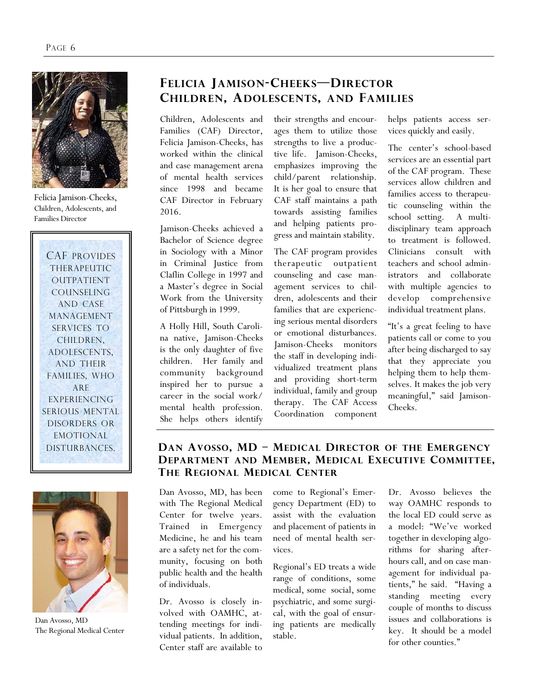

Felicia Jamison-Cheeks, Children, Adolescents, and Families Director

CAF PROVIDES THERAPEUTIC OUTPATIENT COUNSELING AND CASE MANAGEMENT SERVICES TO CHILDREN, ADOLESCENTS, AND THEIR FAMILIES, WHO ARE EXPERIENCING SERIOUS MENTAL DISORDERS OR EMOTIONAL DISTURBANCES.



Dan Avosso, MD The Regional Medical Center

## **FELICIA JAMISON-CHEEKS—DIRECTOR CHILDREN, ADOLESCENTS, AND FAMILIES**

Children, Adolescents and Families (CAF) Director, Felicia Jamison-Cheeks, has worked within the clinical and case management arena of mental health services since 1998 and became CAF Director in February 2016.

Jamison-Cheeks achieved a Bachelor of Science degree in Sociology with a Minor in Criminal Justice from Claflin College in 1997 and a Master's degree in Social Work from the University of Pittsburgh in 1999.

A Holly Hill, South Carolina native, Jamison-Cheeks is the only daughter of five children. Her family and community background inspired her to pursue a career in the social work/ mental health profession. She helps others identify their strengths and encourages them to utilize those strengths to live a productive life. Jamison-Cheeks, emphasizes improving the child/parent relationship. It is her goal to ensure that CAF staff maintains a path towards assisting families and helping patients progress and maintain stability.

The CAF program provides therapeutic outpatient counseling and case management services to children, adolescents and their families that are experiencing serious mental disorders or emotional disturbances. Jamison-Cheeks monitors the staff in developing individualized treatment plans and providing short-term individual, family and group therapy. The CAF Access Coordination component

helps patients access services quickly and easily.

The center's school-based services are an essential part of the CAF program. These services allow children and families access to therapeutic counseling within the school setting. A multidisciplinary team approach to treatment is followed. Clinicians consult with teachers and school administrators and collaborate with multiple agencies to develop comprehensive individual treatment plans.

"It's a great feeling to have patients call or come to you after being discharged to say that they appreciate you helping them to help themselves. It makes the job very meaningful," said Jamison-Cheeks.

#### **DAN AVOSSO, MD – MED ICAL DIRECTOR OF THE EMERGENCY DEPARTMENT AND MEMBER, MED ICAL EXECUTIVE COMMITTEE, THE REGIONAL MED ICAL CENTER**

Dan Avosso, MD, has been with The Regional Medical Center for twelve years. Trained in Emergency Medicine, he and his team are a safety net for the community, focusing on both public health and the health of individuals.

Dr. Avosso is closely involved with OAMHC, attending meetings for individual patients. In addition, Center staff are available to come to Regional's Emergency Department (ED) to assist with the evaluation and placement of patients in need of mental health services.

Regional's ED treats a wide range of conditions, some medical, some social, some psychiatric, and some surgical, with the goal of ensuring patients are medically stable.

Dr. Avosso believes the way OAMHC responds to the local ED could serve as a model: "We've worked together in developing algorithms for sharing afterhours call, and on case management for individual patients," he said. "Having a standing meeting every couple of months to discuss issues and collaborations is key. It should be a model for other counties."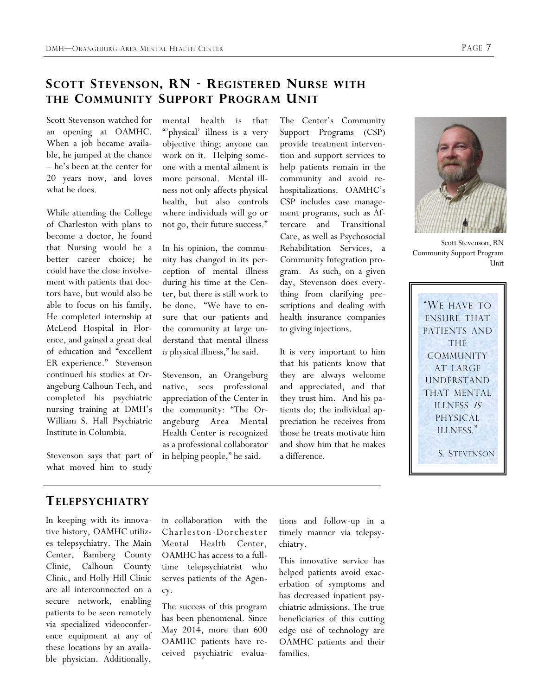## **SCOTT STEVENSON, RN - REGISTERED NURSE WITH THE COMMUNITY SUPPORT PROGRAM UNIT**

Scott Stevenson watched for an opening at OAMHC. When a job became available, he jumped at the chance – he's been at the center for 20 years now, and loves what he does.

While attending the College of Charleston with plans to become a doctor, he found that Nursing would be a better career choice; he could have the close involvement with patients that doctors have, but would also be able to focus on his family. He completed internship at McLeod Hospital in Florence, and gained a great deal of education and "excellent ER experience." Stevenson continued his studies at Orangeburg Calhoun Tech, and completed his psychiatric nursing training at DMH's William S. Hall Psychiatric Institute in Columbia.

Stevenson says that part of what moved him to study

mental health is that "physical' illness is a very objective thing; anyone can work on it. Helping someone with a mental ailment is more personal. Mental illness not only affects physical health, but also controls where individuals will go or not go, their future success."

In his opinion, the community has changed in its perception of mental illness during his time at the Center, but there is still work to be done. "We have to ensure that our patients and the community at large understand that mental illness *is* physical illness," he said.

Stevenson, an Orangeburg native, sees professional appreciation of the Center in the community: "The Orangeburg Area Mental Health Center is recognized as a professional collaborator in helping people," he said.

The Center's Community Support Programs (CSP) provide treatment intervention and support services to help patients remain in the community and avoid rehospitalizations. OAMHC's CSP includes case management programs, such as Aftercare and Transitional Care, as well as Psychosocial Rehabilitation Services, a Community Integration program. As such, on a given day, Stevenson does everything from clarifying prescriptions and dealing with health insurance companies to giving injections.

It is very important to him that his patients know that they are always welcome and appreciated, and that they trust him. And his patients do; the individual appreciation he receives from those he treats motivate him and show him that he makes a difference.



Scott Stevenson, RN Community Support Program **Unit** 

"WE HAVE TO ENSURE THAT PATIENTS AND THE COMMUNITY AT LARGE UNDERSTAND THAT MENTAL ILLNESS IS PHYSICAL ILLNESS." S. STEVENSON

#### **TELEPSYCHIATRY**

In keeping with its innovative history, OAMHC utilizes telepsychiatry. The Main Center, Bamberg County Clinic, Calhoun County Clinic, and Holly Hill Clinic are all interconnected on a secure network, enabling patients to be seen remotely via specialized videoconference equipment at any of these locations by an available physician. Additionally,

in collaboration with the Charle ston -Dorch ester Mental Health Center, OAMHC has access to a fulltime telepsychiatrist who serves patients of the Agency.

The success of this program has been phenomenal. Since May 2014, more than 600 OAMHC patients have received psychiatric evaluations and follow-up in a timely manner via telepsychiatry.

This innovative service has helped patients avoid exacerbation of symptoms and has decreased inpatient psychiatric admissions. The true beneficiaries of this cutting edge use of technology are OAMHC patients and their families.